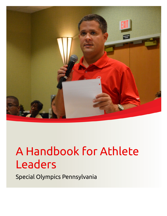

Special Olympics Pennsylvania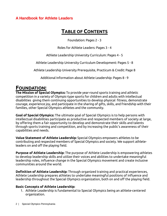# **TABLE OF CONTENTS**

Foundation: Pages 2 - 3

Roles for Athlete Leaders: Pages 3 - 4

Athlete Leadership University Curriculum: Pages 4 - 5

Athlete Leadership University Curriculum Development: Pages 5 - 8

Athlete Leadership University Prerequisite, Practicum & Credit: Page 8

Additional Information about Athlete Leadership: Pages 8 - 9

# **FOUNDATION:**

**The Mission of Special Olympics:** To provide year-round sports training and athletic competition in a variety of Olympic-type sports for children and adults with intellectual disabilities giving them continuing opportunities to develop physical fitness, demonstrate courage, experience joy, and participate in the sharing of gifts, skills, and friendship with their families, other Special Olympics athletes and the community.

**Goal of Special Olympics:** The ultimate goal of Special Olympics is to help persons with intellectual disabilities participate as productive and respected members of society at large, by offering them a fair opportunity to develop and demonstrate their skills and talents through sports training and competition, and by increasing the public's awareness of their capabilities and needs.

**Value Statement of Athlete Leadership:** Special Olympics empowers athletes to be contributing and respected members of Special Olympics and society. We support athleteleaders on and off the playing field.

**Purpose of Athlete Leadership:** The purpose of Athlete Leadership is empowering athletes to develop leadership skills and utilize their voices and abilities to undertake meaningful leadership roles, influence change in the Special Olympics movement and create inclusive communities around the world.

**Definition of Athlete Leadership:** Through organized training and practical experiences, Athlete Leadership prepares athletes to undertake meaningful positions of influence and leadership throughout the Special Olympics organization, both on and off the playing field.

#### **Basic Concepts of Athlete Leadership:**

1. Athlete Leadership is fundamental to Special Olympics being an athlete-centered organization.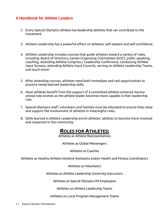- 2. Every Special Olympics athlete has leadership abilities that can contribute to the movement.
- 3. Athlete Leadership has a powerful effect on athletes' self-esteem and self-confidence.
- 4. Athlete Leadership includes courses that guide athletes toward a variety of roles, including: Board of Directors, Games Organizing Committees (GOC), public speaking, coaching, attending Athlete Congress / Leadership Conference, conducting Athlete Input Surveys, attending Athlete Input Councils, serving on Athlete Leadership Teams, and much more!
- 5. After attending courses, athletes need both immediate and real opportunities to practice newly-learned leadership skills.
- 6. Most athletes benefit from the support of a committed athlete-centered mentor whose role evolves as the athlete leader becomes more capable in their leadership role.
- 7. Special Olympics staff, volunteers and families must be educated to ensure they value and support the involvement of athletes in meaningful roles.
- 8. Skills learned in Athlete Leadership enrich athletes' abilities to become more involved and respected in the community.

# **ROLES FOR ATHLETES:**

Athletes as Athlete Representatives

Athletes as Global Messengers

Athletes as Coaches

Athletes as Healthy Athlete Initiative Assistants and/or Health and Fitness Coordinators

Athletes as Volunteers

Athletes as Athlete Leadership University Instructors

Athletes as Special Olympics PA Employees

Athletes on Athlete Leadership Teams

Athletes on Local Program Management Teams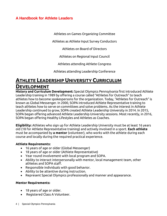Athletes on Games Organizing Committee

Athletes as Athlete Input Survey Conductors

Athletes on Board of Directors

Athletes on Regional Input Council

Athletes attending Athlete Congress

Athletes attending Leadership Conference

# **ATHLETE LEADERSHIP UNIVERSITY CURRICULUM DEVELOPMENT**

**History and Curriculum Development:** Special Olympics Pennsylvania first introduced Athlete Leadership training in 1989 by offering a course called "Athletes for Outreach" to teach athletes how to become spokespersons for the organization. Today, "Athletes for Outreach" is known as Global Messenger. In 2000, SOPA introduced Athlete Representative training to teach athletes how to serve on committees and solve problems. As the interest in Athlete Leadership continued to grow, SOPA created Athlete Leadership University in 2014. In 2015, SOPA began offering advanced Athlete Leadership University sessions. Most recently, in 2016, SOPA began offering Healthy Lifestyles and Athletes as Coaches.

**Eligibility:** Athletes who sign up for Athlete Leadership University must be at least 16 years old (18 for Athlete Representative training) and actively involved in a sport. **Each athlete** must be accompanied by **a mentor** (volunteer), who works with the athlete during each course and locally during the required practical experience.

#### **Athlete Requirements:**

- 16 years of age or older (Global Messenger)
- 18 years of age or older (Athlete Representative)
- Year round involvement with local program and SOPA.
- Ability to interact interpersonally with mentor, local management team, other athletes and SOPA staff.
- Responsible individuals with good behavior.
- Ability to be attentive during instruction.
- Represent Special Olympics professionally and manner and appearance.

#### **Mentor Requirements:**

- 18 years of age or older.
- Registered Class A Volunteer.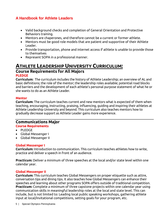- Valid background checks and completion of General Orientation and Protective Behaviors training.
- Mentors are chaperones, and therefore cannot be a current or former athlete.
- Mentors must be good role models that are patient and supportive of their Athlete Leader.
- Provide transportation, phone and internet access if athlete is unable to provide those to themselves
- Represent SOPA in a professional manner.

# **ATHLETE LEADERSHIP UNIVERSITY CURRICULUM: Course Requirements for All Majors PLEDGE**

**Curriculum:** The curriculum includes the history of Athlete Leadership; an overview of AL and basic definitions; the role of the mentor; the leadership roles available; potential road blocks and barriers and the development of each athlete's personal purpose statement of what he or she wants to do as an Athlete Leader.

#### **Mentor**

**Curriculum:** The curriculum teaches current and new mentors what is expected of them when teaching, encouraging, instructing, praising, influencing, guiding and inspiring their athletes at Athlete Leadership University and beyond. This curriculum also teaches mentors how to gradually decrease support as Athlete Leader gains more experience.

#### **Communications Major Course Requirements**

# • PLEDGE

- 
- Global Messenger I
- Global Messenger II

#### **Global Messenger I**

**Curriculum:** Introduction to communication. This curriculum teaches athletes how to write, practice and deliver a speech in front of an audience.

**Practicum:** Deliver a minimum of three speeches at the local and/or state level within one calendar year.

#### **Global Messenger II**

**Curriculum:** This curriculum teaches Global Messengers on proper etiquette such as attire, conversation tips and dining tips. It also teaches how Global Messengers can enhance their speeches and learning about other programs SOPA offers outside of traditional competition. **Practicum:** Complete a minimum of three capstone projects within one calendar year using communication skills in meaningful leadership roles at the local and state level. This can include, but is not limited to: Leading local public speaking workshops, gathering athlete input at local/invitational competitions, setting goals for your program, etc.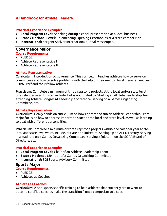#### **Practical Experience Examples**

- **Local Program Level:** Speaking during a check presentation at a local business.
- **State / National Level:** Co-emceeing Opening Ceremonies at a state competition.
- **International:** Sargent Shriver International Global Messenger.

#### **Governance Major Course Requirements**

- PLEDGE
- Athlete Representative I
- Athlete Representative II

#### **Athlete Representative I**

**Curriculum:** Introduction to governance. This curriculum teaches athletes how to serve on committees and how to solve problems with the help of their mentor, local management team, SOPA Staff and their fellow athletes.

**Practicum:** Complete a minimum of three capstone projects at the local and/or state level in one calendar year. This can include, but is not limited to: Starting an Athlete Leadership Team, attending Athlete Congress/Leadership Conference, serving on a Games Organizing Committee, etc.

#### **Athlete Representative II**

**Curriculum:** Heavy hands on curriculum on how to start and run an Athlete Leadership Team. Major focus on how to address important issues at the local and state level, as well as learning to deal with different personalities.

**Practicum:** Complete a minimum of three capstone projects within one calendar year at the local and state level which include, but are not limited to: Setting up an ALT Directory, serving in a lead role on a Games Organizing Committee, serving a full term on the SOPA Board of Directors, etc.

#### **Practical Experience Examples**

- **Local Program Level:** Chair of an Athlete Leadership Team
- **State / National:** Member of a Games Organizing Committee
- **International:** SOI Sports Advisory Committee

#### **Sports Major Course Requirements**

- PLEDGE
- Athletes as Coaches

#### **Athletes as Coaches**

**Curriculum:** A non-sports specific training to help athletes that currently are or want to become certified coaches make the transition from a competitor to a coach.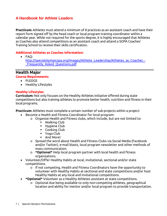**Practicum:** Athletes must attend a minimum of 8 practices as an assistant coach and have their report form signed off by the head coach or local program training coordinator within a calendar year. While not required for the sports degree, it is highly encouraged that Athletes as Coaches also attend competitions as an assistant coach and attend a SOPA Coaches' Training School to receive their skills certification.

#### **Additional Athletes as Coaches Information:**

• FAQ:

[http://specialolympicspa.org/images/Athlete\\_Leadership/Athletes\\_as\\_Coaches\\_-](http://specialolympicspa.org/images/Athlete_Leadership/Athletes_as_Coaches_-_Frequently_Asked_Questions.pdf) Frequently Asked Questions.pdf

# **Health Major**

#### **Course Requirements**

- PLEDGE
- Healthy Lifestyles

#### **Healthy Lifestyles**

**Curriculum:** Not only focuses on the Healthy Athletes initiative offered during state competitions but also training athletes to promote better health, nutrition and fitness in their local programs.

**Practicum:** Athletes must complete a certain number of sub-projects within a project:

- Become a Health and Fitness Coordinator for local program:
	- o Organize Health and Fitness clubs, which include, but are not limited to:
		- Walking Club
		- **Hygiene Club**
		- Cooking Club
		- Yoga Club
		- And More!
	- o Spread the word about Health and Fitness Clubs via Social Media (Facebook and/or Twitter), e-mail blasts, local program newsletter and other methods of mass communication.
	- o **\*Optional\*** Help local program partner with local health and fitness organizations.
- Volunteer/Offer Healthy Habits at local, invitational, sectional and/or state competitions.
	- o If not competing, Health and Fitness Coordinators have the opportunity to volunteer with Healthy Habits at sectional and state competitions and/or host Healthy Habits at any local and invitational competitions.
- **\*Optional\*** Volunteer as a Healthy Athletes assistant at state competitions.
	- o Optional due being available to only non-competing athletes, geographical location and ability for mentor and/or local program to provide transportation.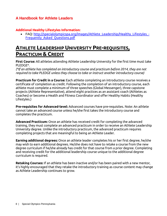#### **Additional Healthy Lifestyles Information:**

• FAQ: [http://specialolympicspa.org/images/Athlete\\_Leadership/Healthy\\_Lifestyles\\_-](http://specialolympicspa.org/images/Athlete_Leadership/Healthy_Lifestyles_-Frequently_Asked_Questions.pdf) [Frequently\\_Asked\\_Questions.pdf](http://specialolympicspa.org/images/Athlete_Leadership/Healthy_Lifestyles_-Frequently_Asked_Questions.pdf)

# **ATHLETE LEADERSHIP UNIVERSITY PRE-REQUISITES, PRACTICUM & CREDIT**

**First Course:** All athletes attending Athlete Leadership University for the first time must take PLEDGE\*.

*(\*If an athlete has completed an introductory course and practicum before 2014, they are not required to take PLEDGE unless they choose to take or instruct another introductory course)*

**Practicum for Credit in a Course:** Each athlete completing an introductory course receives a certificate of completion as credit. Following the completion of an introductory course, each athlete must complete a minimum of three speeches (Global Messenger), three capstone projects (Athlete Representative), attend eight practices as an assistant coach (Athletes as Coaches) or become a Health and Fitness Coordinator and offer Healthy Habits (Healthy Lifestyles.)

**Pre-requisites for Advanced-level:** Advanced courses have pre-requisites. Note: An athlete cannot take an advanced course unless he/she first takes the introductory course and completes the practicum.

**Advanced Practicum:** Once an athlete has received credit for completing the advanced training, they must complete an advanced practicum in order to receive an Athlete Leadership University degree. Unlike the introductory practicum, the advanced practicum requires completing projects that are meaningful to being an Athlete Leader.

**Earning additional degrees:** Once an athlete leader completes his or her first degree, he/she may wish to earn additional degrees. He/she does not have to retake a course from the new degree curriculum if he/she already has credit for that course from a prior degree. Completing and receiving credit for the additional leadership course unique to the additional degree curriculum is required.

**Retaking Courses:** If an athlete has been inactive and/or has been paired with a new mentor, it's highly encouraged that they retake the introductory training as course content may change as Athlete Leadership continues to grow.